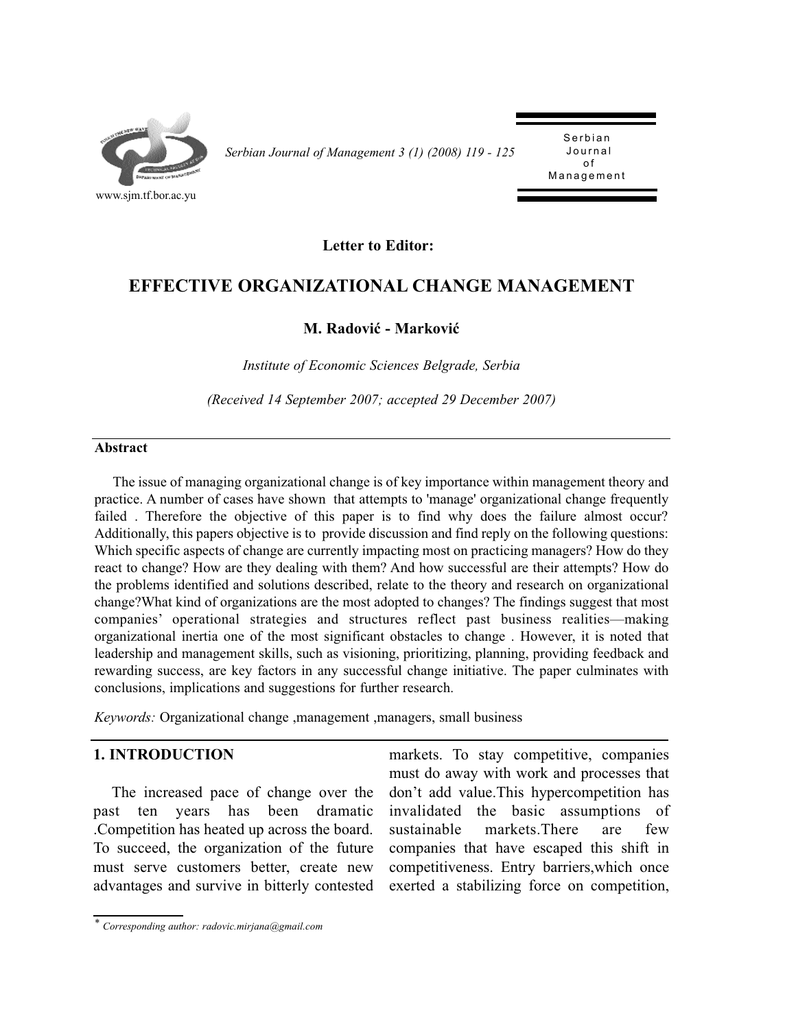

*Serbian Journal of Management 3 (1) (2008) 119 - 125* 

Serbian<br>Journal  $\Omega$ Management Management

### **Letter to Editor:**

# **EFFECTIVE ORGANIZATIONAL CHANGE MANAGEMENT**

**M. Radović - Marković** 

*Institute of Economic Sciences Belgrade, Serbia*

*(Received 14 September 2007; accepted 29 December 2007)*

#### **Abstract**

The issue of managing organizational change is of key importance within management theory and practice. A number of cases have shown that attempts to 'manage' organizational change frequently failed . Therefore the objective of this paper is to find why does the failure almost occur? Additionally, this papers objective is to provide discussion and find reply on the following questions: Which specific aspects of change are currently impacting most on practicing managers? How do they react to change? How are they dealing with them? And how successful are their attempts? How do the problems identified and solutions described, relate to the theory and research on organizational change?What kind of organizations are the most adopted to changes? The findings suggest that most companies' operational strategies and structures reflect past business realities—making organizational inertia one of the most significant obstacles to change . However, it is noted that leadership and management skills, such as visioning, prioritizing, planning, providing feedback and rewarding success, are key factors in any successful change initiative. The paper culminates with conclusions, implications and suggestions for further research.

*Keywords:* Organizational change ,management ,managers, small business

#### **1. INTRODUCTION**

The increased pace of change over the past ten years has been dramatic .Competition has heated up across the board. To succeed, the organization of the future must serve customers better, create new advantages and survive in bitterly contested markets. To stay competitive, companies must do away with work and processes that don't add value.This hypercompetition has invalidated the basic assumptions of sustainable markets.There are few companies that have escaped this shift in competitiveness. Entry barriers,which once exerted a stabilizing force on competition,

*<sup>\*</sup> Corresponding author: radovic.mirjana@gmail.com*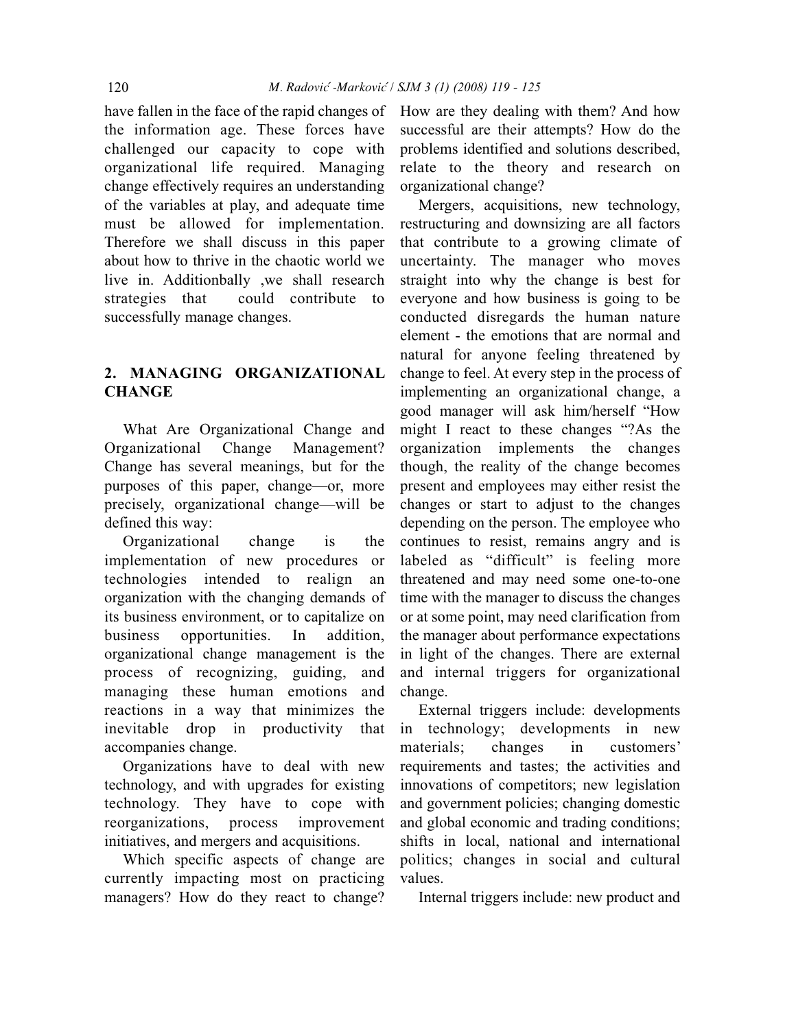have fallen in the face of the rapid changes of the information age. These forces have challenged our capacity to cope with organizational life required. Managing change effectively requires an understanding of the variables at play, and adequate time must be allowed for implementation. Therefore we shall discuss in this paper about how to thrive in the chaotic world we live in. Additionbally ,we shall research strategies that could contribute to successfully manage changes.

# **2. MANAGING ORGANIZATIONAL CHANGE**

What Are Organizational Change and Organizational Change Management? Change has several meanings, but for the purposes of this paper, change—or, more precisely, organizational change—will be defined this way:

Organizational change is the implementation of new procedures or technologies intended to realign an organization with the changing demands of its business environment, or to capitalize on business opportunities. In addition, organizational change management is the process of recognizing, guiding, and managing these human emotions and reactions in a way that minimizes the inevitable drop in productivity that accompanies change.

Organizations have to deal with new technology, and with upgrades for existing technology. They have to cope with reorganizations, process improvement initiatives, and mergers and acquisitions.

Which specific aspects of change are currently impacting most on practicing managers? How do they react to change?

How are they dealing with them? And how successful are their attempts? How do the problems identified and solutions described, relate to the theory and research on organizational change?

Mergers, acquisitions, new technology, restructuring and downsizing are all factors that contribute to a growing climate of uncertainty. The manager who moves straight into why the change is best for everyone and how business is going to be conducted disregards the human nature element - the emotions that are normal and natural for anyone feeling threatened by change to feel. At every step in the process of implementing an organizational change, a good manager will ask him/herself "How might I react to these changes "?As the organization implements the changes though, the reality of the change becomes present and employees may either resist the changes or start to adjust to the changes depending on the person. The employee who continues to resist, remains angry and is labeled as "difficult" is feeling more threatened and may need some one-to-one time with the manager to discuss the changes or at some point, may need clarification from the manager about performance expectations in light of the changes. There are external and internal triggers for organizational change.

External triggers include: developments in technology; developments in new materials; changes in customers' requirements and tastes; the activities and innovations of competitors; new legislation and government policies; changing domestic and global economic and trading conditions; shifts in local, national and international politics; changes in social and cultural values.

Internal triggers include: new product and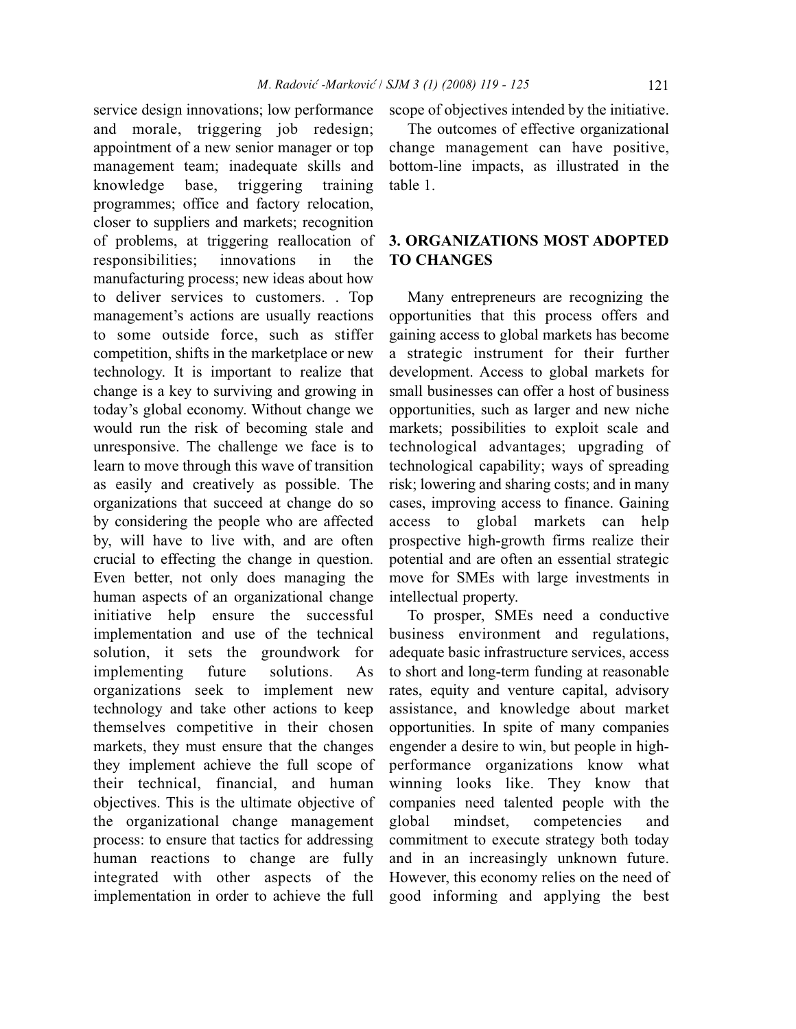service design innovations; low performance and morale, triggering job redesign; appointment of a new senior manager or top management team; inadequate skills and knowledge base, triggering training programmes; office and factory relocation, closer to suppliers and markets; recognition of problems, at triggering reallocation of responsibilities; innovations in the manufacturing process; new ideas about how to deliver services to customers. . Top management's actions are usually reactions to some outside force, such as stiffer competition, shifts in the marketplace or new technology. It is important to realize that change is a key to surviving and growing in today's global economy. Without change we would run the risk of becoming stale and unresponsive. The challenge we face is to learn to move through this wave of transition as easily and creatively as possible. The organizations that succeed at change do so by considering the people who are affected by, will have to live with, and are often crucial to effecting the change in question. Even better, not only does managing the human aspects of an organizational change initiative help ensure the successful implementation and use of the technical solution, it sets the groundwork for implementing future solutions. As organizations seek to implement new technology and take other actions to keep themselves competitive in their chosen markets, they must ensure that the changes they implement achieve the full scope of their technical, financial, and human objectives. This is the ultimate objective of the organizational change management process: to ensure that tactics for addressing human reactions to change are fully integrated with other aspects of the implementation in order to achieve the full

scope of objectives intended by the initiative.

The outcomes of effective organizational change management can have positive, bottom-line impacts, as illustrated in the table 1.

## **3. ORGANIZATIONS MOST ADOPTED TO CHANGES**

Many entrepreneurs are recognizing the opportunities that this process offers and gaining access to global markets has become a strategic instrument for their further development. Access to global markets for small businesses can offer a host of business opportunities, such as larger and new niche markets; possibilities to exploit scale and technological advantages; upgrading of technological capability; ways of spreading risk; lowering and sharing costs; and in many cases, improving access to finance. Gaining access to global markets can help prospective high-growth firms realize their potential and are often an essential strategic move for SMEs with large investments in intellectual property.

To prosper, SMEs need a conductive business environment and regulations, adequate basic infrastructure services, access to short and long-term funding at reasonable rates, equity and venture capital, advisory assistance, and knowledge about market opportunities. In spite of many companies engender a desire to win, but people in highperformance organizations know what winning looks like. They know that companies need talented people with the global mindset, competencies and commitment to execute strategy both today and in an increasingly unknown future. However, this economy relies on the need of good informing and applying the best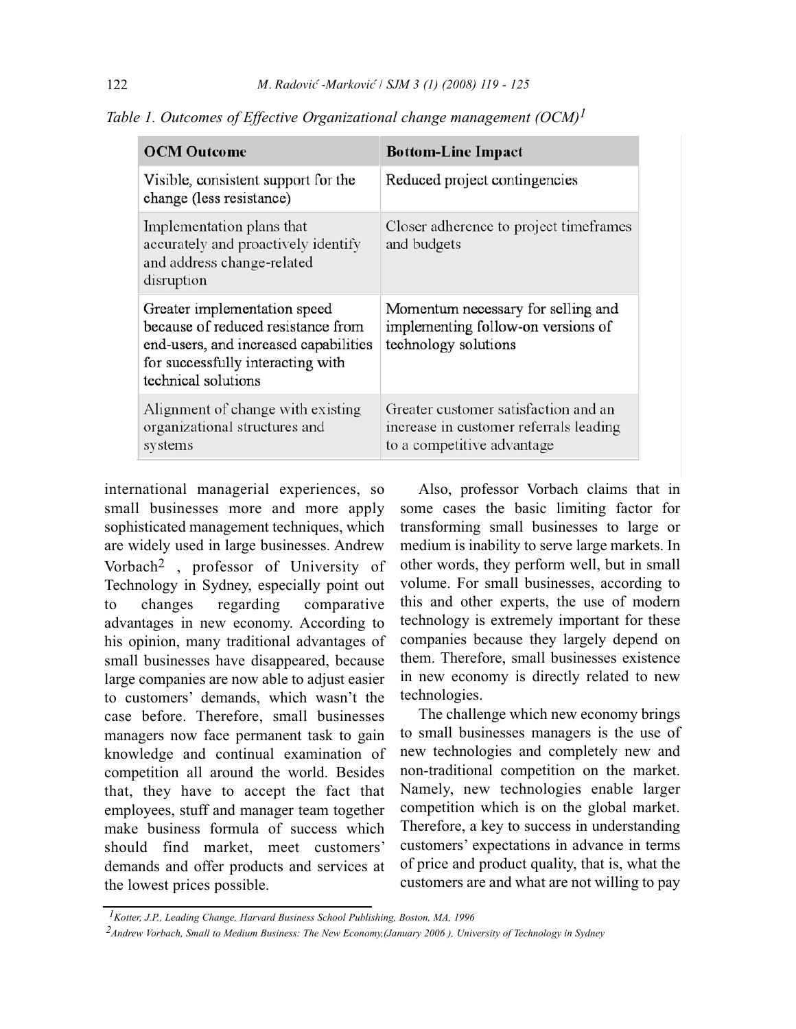| <b>OCM</b> Outcome                                                                                                                                                      | <b>Bottom-Line Impact</b>                                                                                    |
|-------------------------------------------------------------------------------------------------------------------------------------------------------------------------|--------------------------------------------------------------------------------------------------------------|
| Visible, consistent support for the<br>change (less resistance)                                                                                                         | Reduced project contingencies                                                                                |
| Implementation plans that<br>accurately and proactively identify<br>and address change-related<br>disruption                                                            | Closer adherence to project time frames<br>and budgets                                                       |
| Greater implementation speed<br>because of reduced resistance from<br>end-users, and increased capabilities<br>for successfully interacting with<br>technical solutions | Momentum necessary for selling and<br>implementing follow-on versions of<br>technology solutions             |
| Alignment of change with existing<br>organizational structures and<br>systems                                                                                           | Greater customer satisfaction and an<br>increase in customer referrals leading<br>to a competitive advantage |

*Table 1. Outcomes of Effective Organizational change management (OCM)1*

international managerial experiences, so small businesses more and more apply sophisticated management techniques, which are widely used in large businesses. Andrew Vorbach2 , professor of University of Technology in Sydney, especially point out to changes regarding comparative advantages in new economy. According to his opinion, many traditional advantages of small businesses have disappeared, because large companies are now able to adjust easier to customers' demands, which wasn't the case before. Therefore, small businesses managers now face permanent task to gain knowledge and continual examination of competition all around the world. Besides that, they have to accept the fact that employees, stuff and manager team together make business formula of success which should find market, meet customers' demands and offer products and services at the lowest prices possible.

Also, professor Vorbach claims that in some cases the basic limiting factor for transforming small businesses to large or medium is inability to serve large markets. In other words, they perform well, but in small volume. For small businesses, according to this and other experts, the use of modern technology is extremely important for these companies because they largely depend on them. Therefore, small businesses existence in new economy is directly related to new technologies.

The challenge which new economy brings to small businesses managers is the use of new technologies and completely new and non-traditional competition on the market. Namely, new technologies enable larger competition which is on the global market. Therefore, a key to success in understanding customers' expectations in advance in terms of price and product quality, that is, what the customers are and what are not willing to pay

*<sup>1</sup>Kotter, J.P., Leading Change, Harvard Business School Publishing, Boston, MA, 1996*

*<sup>2</sup>Andrew Vorbach, Small to Medium Business: The New Economy,(January 2006 ), University of Technology in Sydney*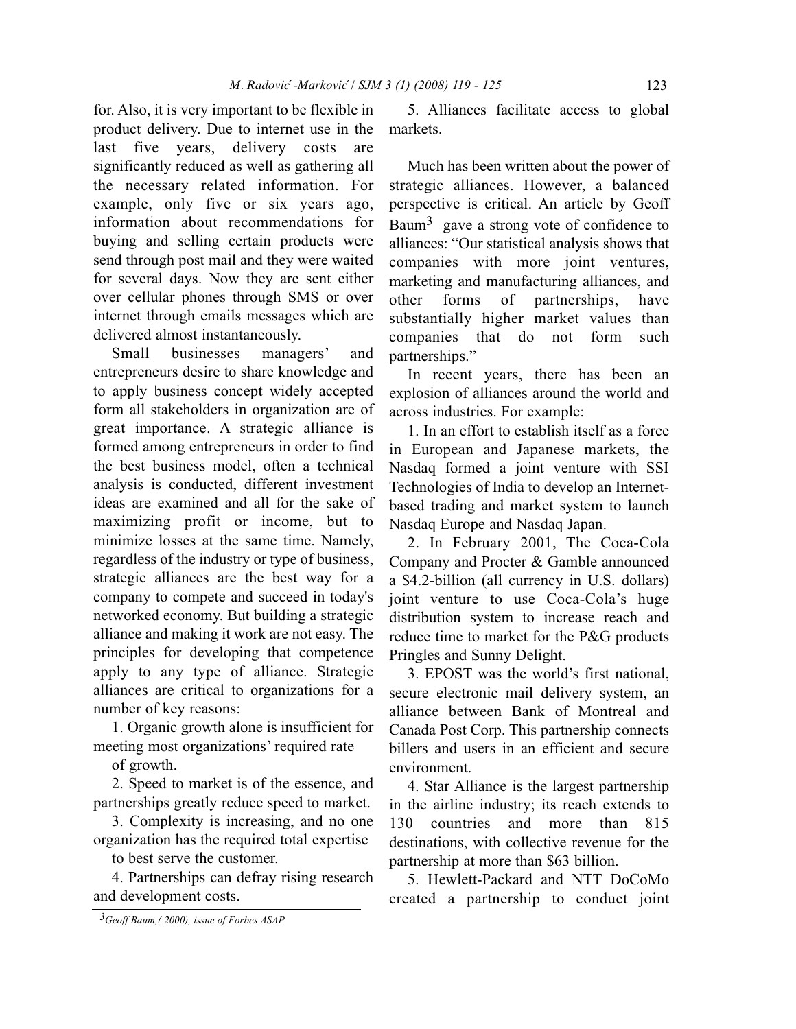for. Also, it is very important to be flexible in product delivery. Due to internet use in the last five years, delivery costs are significantly reduced as well as gathering all the necessary related information. For example, only five or six years ago, information about recommendations for buying and selling certain products were send through post mail and they were waited for several days. Now they are sent either over cellular phones through SMS or over internet through emails messages which are delivered almost instantaneously.

Small businesses managers' and entrepreneurs desire to share knowledge and to apply business concept widely accepted form all stakeholders in organization are of great importance. A strategic alliance is formed among entrepreneurs in order to find the best business model, often a technical analysis is conducted, different investment ideas are examined and all for the sake of maximizing profit or income, but to minimize losses at the same time. Namely, regardless of the industry or type of business, strategic alliances are the best way for a company to compete and succeed in today's networked economy. But building a strategic alliance and making it work are not easy. The principles for developing that competence apply to any type of alliance. Strategic alliances are critical to organizations for a number of key reasons:

1. Organic growth alone is insufficient for meeting most organizations' required rate

of growth.

2. Speed to market is of the essence, and partnerships greatly reduce speed to market.

3. Complexity is increasing, and no one organization has the required total expertise

to best serve the customer.

4. Partnerships can defray rising research and development costs.

5. Alliances facilitate access to global markets.

Much has been written about the power of strategic alliances. However, a balanced perspective is critical. An article by Geoff Baum<sup>3</sup> gave a strong vote of confidence to alliances: "Our statistical analysis shows that companies with more joint ventures, marketing and manufacturing alliances, and other forms of partnerships, have substantially higher market values than companies that do not form such partnerships."

In recent years, there has been an explosion of alliances around the world and across industries. For example:

1. In an effort to establish itself as a force in European and Japanese markets, the Nasdaq formed a joint venture with SSI Technologies of India to develop an Internetbased trading and market system to launch Nasdaq Europe and Nasdaq Japan.

2. In February 2001, The Coca-Cola Company and Procter & Gamble announced a \$4.2-billion (all currency in U.S. dollars) joint venture to use Coca-Cola's huge distribution system to increase reach and reduce time to market for the P&G products Pringles and Sunny Delight.

3. EPOST was the world's first national, secure electronic mail delivery system, an alliance between Bank of Montreal and Canada Post Corp. This partnership connects billers and users in an efficient and secure environment.

4. Star Alliance is the largest partnership in the airline industry; its reach extends to 130 countries and more than 815 destinations, with collective revenue for the partnership at more than \$63 billion.

5. Hewlett-Packard and NTT DoCoMo created a partnership to conduct joint

*<sup>3</sup>Geoff Baum,( 2000), issue of Forbes ASAP*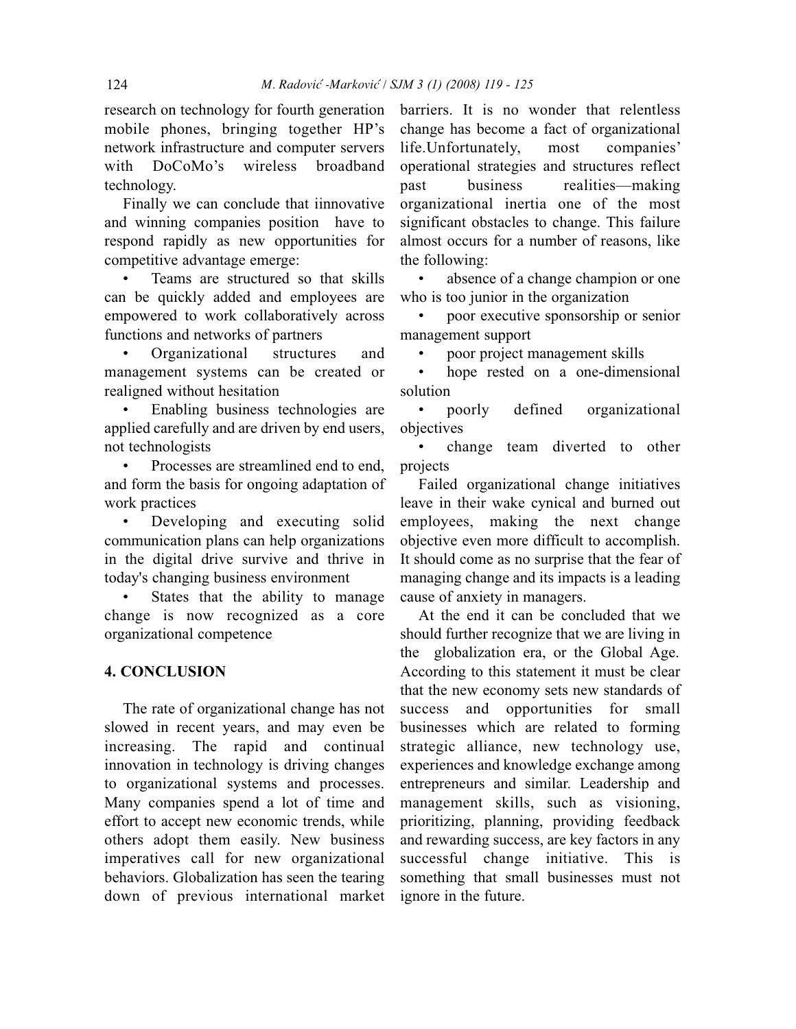research on technology for fourth generation mobile phones, bringing together HP's network infrastructure and computer servers with DoCoMo's wireless broadband technology.

Finally we can conclude that iinnovative and winning companies position have to respond rapidly as new opportunities for competitive advantage emerge:

• Teams are structured so that skills can be quickly added and employees are empowered to work collaboratively across functions and networks of partners

• Organizational structures and management systems can be created or realigned without hesitation

• Enabling business technologies are applied carefully and are driven by end users, not technologists

• Processes are streamlined end to end, and form the basis for ongoing adaptation of work practices

Developing and executing solid communication plans can help organizations in the digital drive survive and thrive in today's changing business environment

States that the ability to manage change is now recognized as a core organizational competence

### **4. CONCLUSION**

The rate of organizational change has not slowed in recent years, and may even be increasing. The rapid and continual innovation in technology is driving changes to organizational systems and processes. Many companies spend a lot of time and effort to accept new economic trends, while others adopt them easily. New business imperatives call for new organizational behaviors. Globalization has seen the tearing down of previous international market

barriers. It is no wonder that relentless change has become a fact of organizational life.Unfortunately, most companies' operational strategies and structures reflect past business realities—making organizational inertia one of the most significant obstacles to change. This failure almost occurs for a number of reasons, like the following:

• absence of a change champion or one who is too junior in the organization

• poor executive sponsorship or senior management support

• poor project management skills

hope rested on a one-dimensional solution

• poorly defined organizational objectives

• change team diverted to other projects

Failed organizational change initiatives leave in their wake cynical and burned out employees, making the next change objective even more difficult to accomplish. It should come as no surprise that the fear of managing change and its impacts is a leading cause of anxiety in managers.

At the end it can be concluded that we should further recognize that we are living in the globalization era, or the Global Age. According to this statement it must be clear that the new economy sets new standards of success and opportunities for small businesses which are related to forming strategic alliance, new technology use, experiences and knowledge exchange among entrepreneurs and similar. Leadership and management skills, such as visioning, prioritizing, planning, providing feedback and rewarding success, are key factors in any successful change initiative. This is something that small businesses must not ignore in the future.